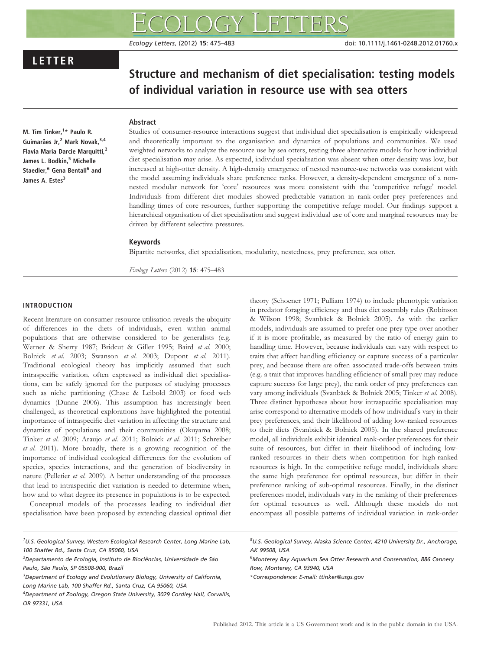# LETTER

# Structure and mechanism of diet specialisation: testing models of individual variation in resource use with sea otters

# Abstract

M. Tim Tinker,<sup>1</sup>\* Paulo R. Guimarães Jr.<sup>2</sup> Mark Novak.<sup>3,4</sup> Flavia Maria Darcie Marquitti.<sup>2</sup> James L. Bodkin.<sup>5</sup> Michelle Staedler,<sup>6</sup> Gena Bentall<sup>6</sup> and James A. Estes<sup>3</sup>

Studies of consumer-resource interactions suggest that individual diet specialisation is empirically widespread and theoretically important to the organisation and dynamics of populations and communities. We used weighted networks to analyze the resource use by sea otters, testing three alternative models for how individual diet specialisation may arise. As expected, individual specialisation was absent when otter density was low, but increased at high-otter density. A high-density emergence of nested resource-use networks was consistent with the model assuming individuals share preference ranks. However, a density-dependent emergence of a nonnested modular network for 'core' resources was more consistent with the 'competitive refuge' model. Individuals from different diet modules showed predictable variation in rank-order prey preferences and handling times of core resources, further supporting the competitive refuge model. Our findings support a hierarchical organisation of diet specialisation and suggest individual use of core and marginal resources may be driven by different selective pressures.

### Keywords

Bipartite networks, diet specialisation, modularity, nestedness, prey preference, sea otter.

Ecology Letters (2012) 15: 475–483

# INTRODUCTION

Recent literature on consumer-resource utilisation reveals the ubiquity of differences in the diets of individuals, even within animal populations that are otherwise considered to be generalists (e.g. Werner & Sherry 1987; Bridcut & Giller 1995; Baird et al. 2000; Bolnick et al. 2003; Swanson et al. 2003; Dupont et al. 2011). Traditional ecological theory has implicitly assumed that such intraspecific variation, often expressed as individual diet specialisations, can be safely ignored for the purposes of studying processes such as niche partitioning (Chase & Leibold 2003) or food web dynamics (Dunne 2006). This assumption has increasingly been challenged, as theoretical explorations have highlighted the potential importance of intraspecific diet variation in affecting the structure and dynamics of populations and their communities (Okuyama 2008; Tinker et al. 2009; Araujo et al. 2011; Bolnick et al. 2011; Schreiber et al. 2011). More broadly, there is a growing recognition of the importance of individual ecological differences for the evolution of species, species interactions, and the generation of biodiversity in nature (Pelletier et al. 2009). A better understanding of the processes that lead to intraspecific diet variation is needed to determine when, how and to what degree its presence in populations is to be expected.

Conceptual models of the processes leading to individual diet specialisation have been proposed by extending classical optimal diet theory (Schoener 1971; Pulliam 1974) to include phenotypic variation in predator foraging efficiency and thus diet assembly rules (Robinson & Wilson 1998; Svanbäck & Bolnick 2005). As with the earlier models, individuals are assumed to prefer one prey type over another if it is more profitable, as measured by the ratio of energy gain to handling time. However, because individuals can vary with respect to traits that affect handling efficiency or capture success of a particular prey, and because there are often associated trade-offs between traits (e.g. a trait that improves handling efficiency of small prey may reduce capture success for large prey), the rank order of prey preferences can vary among individuals (Svanbäck & Bolnick 2005; Tinker et al. 2008). Three distinct hypotheses about how intraspecific specialisation may arise correspond to alternative models of how individual's vary in their prey preferences, and their likelihood of adding low-ranked resources to their diets (Svanbäck & Bolnick 2005). In the shared preference model, all individuals exhibit identical rank-order preferences for their suite of resources, but differ in their likelihood of including lowranked resources in their diets when competition for high-ranked resources is high. In the competitive refuge model, individuals share the same high preference for optimal resources, but differ in their preference ranking of sub-optimal resources. Finally, in the distinct preferences model, individuals vary in the ranking of their preferences for optimal resources as well. Although these models do not encompass all possible patterns of individual variation in rank-order

<sup>5</sup>U.S. Geological Survey, Alaska Science Center, 4210 University Dr., Anchorage, AK 99508, USA

6 Monterey Bay Aquarium Sea Otter Research and Conservation, 886 Cannery Row, Monterey, CA 93940, USA

\*Correspondence: E-mail: ttinker@usgs.gov

<sup>&</sup>lt;sup>1</sup>U.S. Geological Survey, Western Ecological Research Center, Long Marine Lab, 100 Shaffer Rd., Santa Cruz, CA 95060, USA

 $^{2}$ Departamento de Ecologia, Instituto de Biociências, Universidade de São Paulo, São Paulo, SP 05508-900, Brazil

<sup>&</sup>lt;sup>3</sup>Department of Ecology and Evolutionary Biology, University of California, Long Marine Lab, 100 Shaffer Rd., Santa Cruz, CA 95060, USA

<sup>&</sup>lt;sup>4</sup>Department of Zoology, Oregon State University, 3029 Cordley Hall, Corvallis, OR 97331, USA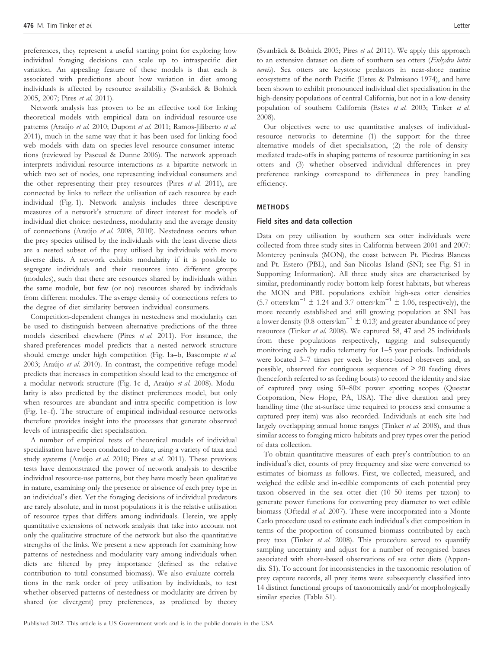preferences, they represent a useful starting point for exploring how individual foraging decisions can scale up to intraspecific diet variation. An appealing feature of these models is that each is associated with predictions about how variation in diet among individuals is affected by resource availability (Svanbäck & Bolnick 2005, 2007; Pires et al. 2011).

Network analysis has proven to be an effective tool for linking theoretical models with empirical data on individual resource-use patterns (Araújo et al. 2010; Dupont et al. 2011; Ramos-Jiliberto et al. 2011), much in the same way that it has been used for linking food web models with data on species-level resource-consumer interactions (reviewed by Pascual & Dunne 2006). The network approach interprets individual-resource interactions as a bipartite network in which two set of nodes, one representing individual consumers and the other representing their prey resources (Pires et al. 2011), are connected by links to reflect the utilisation of each resource by each individual (Fig. 1). Network analysis includes three descriptive measures of a network's structure of direct interest for models of individual diet choice: nestedness, modularity and the average density of connections (Arau´jo et al. 2008, 2010). Nestedness occurs when the prey species utilised by the individuals with the least diverse diets are a nested subset of the prey utilised by individuals with more diverse diets. A network exhibits modularity if it is possible to segregate individuals and their resources into different groups (modules), such that there are resources shared by individuals within the same module, but few (or no) resources shared by individuals from different modules. The average density of connections refers to the degree of diet similarity between individual consumers.

Competition-dependent changes in nestedness and modularity can be used to distinguish between alternative predictions of the three models described elsewhere (Pires et al. 2011). For instance, the shared-preferences model predicts that a nested network structure should emerge under high competition (Fig. 1a–b, Bascompte et al. 2003; Araújo et al. 2010). In contrast, the competitive refuge model predicts that increases in competition should lead to the emergence of a modular network structure (Fig. 1c-d, Araújo et al. 2008). Modularity is also predicted by the distinct preferences model, but only when resources are abundant and intra-specific competition is low (Fig. 1e–f). The structure of empirical individual-resource networks therefore provides insight into the processes that generate observed levels of intraspecific diet specialisation.

A number of empirical tests of theoretical models of individual specialisation have been conducted to date, using a variety of taxa and study systems (Araújo et al. 2010; Pires et al. 2011). These previous tests have demonstrated the power of network analysis to describe individual resource-use patterns, but they have mostly been qualitative in nature, examining only the presence or absence of each prey type in an individual's diet. Yet the foraging decisions of individual predators are rarely absolute, and in most populations it is the relative utilisation of resource types that differs among individuals. Herein, we apply quantitative extensions of network analysis that take into account not only the qualitative structure of the network but also the quantitative strengths of the links. We present a new approach for examining how patterns of nestedness and modularity vary among individuals when diets are filtered by prey importance (defined as the relative contribution to total consumed biomass). We also evaluate correlations in the rank order of prey utilisation by individuals, to test whether observed patterns of nestedness or modularity are driven by shared (or divergent) prey preferences, as predicted by theory

(Svanbäck & Bolnick 2005; Pires et al. 2011). We apply this approach to an extensive dataset on diets of southern sea otters (Enhydra lutris nereis). Sea otters are keystone predators in near-shore marine ecosystems of the north Pacific (Estes & Palmisano 1974), and have been shown to exhibit pronounced individual diet specialisation in the high-density populations of central California, but not in a low-density population of southern California (Estes et al. 2003; Tinker et al. 2008).

Our objectives were to use quantitative analyses of individualresource networks to determine (1) the support for the three alternative models of diet specialisation, (2) the role of densitymediated trade-offs in shaping patterns of resource partitioning in sea otters and (3) whether observed individual differences in prey preference rankings correspond to differences in prey handling efficiency.

#### METHODS

## Field sites and data collection

Data on prey utilisation by southern sea otter individuals were collected from three study sites in California between 2001 and 2007: Monterey peninsula (MON), the coast between Pt. Piedras Blancas and Pt. Estero (PBL), and San Nicolas Island (SNI; see Fig. S1 in Supporting Information). All three study sites are characterised by similar, predominantly rocky-bottom kelp-forest habitats, but whereas the MON and PBL populations exhibit high-sea otter densities (5.7 otters km<sup>-1</sup>  $\pm$  1.24 and 3.7 otters km<sup>-1</sup>  $\pm$  1.06, respectively), the more recently established and still growing population at SNI has a lower density (0.8 otters km<sup>-1</sup>  $\pm$  0.13) and greater abundance of prey resources (Tinker et al. 2008). We captured 58, 47 and 25 individuals from these populations respectively, tagging and subsequently monitoring each by radio telemetry for 1–5 year periods. Individuals were located 3–7 times per week by shore-based observers and, as possible, observed for contiguous sequences of  $\geq 20$  feeding dives (henceforth referred to as feeding bouts) to record the identity and size of captured prey using 50–80× power spotting scopes (Questar Corporation, New Hope, PA, USA). The dive duration and prey handling time (the at-surface time required to process and consume a captured prey item) was also recorded. Individuals at each site had largely overlapping annual home ranges (Tinker *et al.* 2008), and thus similar access to foraging micro-habitats and prey types over the period of data collection.

To obtain quantitative measures of each preys contribution to an individual's diet, counts of prey frequency and size were converted to estimates of biomass as follows. First, we collected, measured, and weighed the edible and in-edible components of each potential prey taxon observed in the sea otter diet (10–50 items per taxon) to generate power functions for converting prey diameter to wet edible biomass (Oftedal et al. 2007). These were incorporated into a Monte Carlo procedure used to estimate each individual's diet composition in terms of the proportion of consumed biomass contributed by each prey taxa (Tinker et al. 2008). This procedure served to quantify sampling uncertainty and adjust for a number of recognised biases associated with shore-based observations of sea otter diets (Appendix S1). To account for inconsistencies in the taxonomic resolution of prey capture records, all prey items were subsequently classified into 14 distinct functional groups of taxonomically and/or morphologically similar species (Table S1).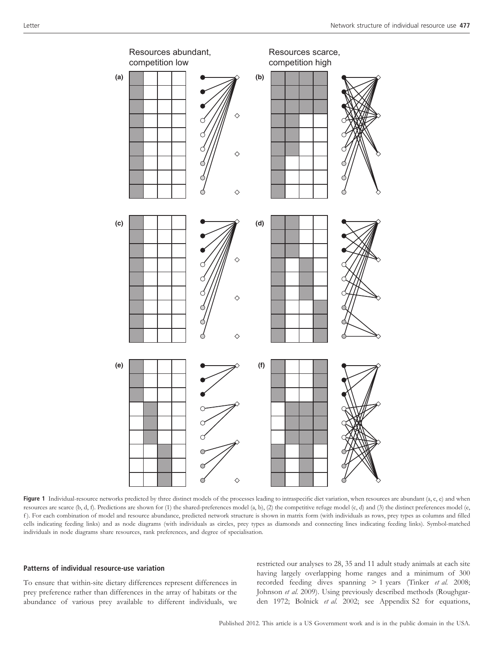

Figure 1 Individual-resource networks predicted by three distinct models of the processes leading to intraspecific diet variation, when resources are abundant (a, c, e) and when resources are scarce (b, d, f). Predictions are shown for (1) the shared-preferences model (a, b), (2) the competitive refuge model (c, d) and (3) the distinct preferences model (e, f ). For each combination of model and resource abundance, predicted network structure is shown in matrix form (with individuals as rows, prey types as columns and filled cells indicating feeding links) and as node diagrams (with individuals as circles, prey types as diamonds and connecting lines indicating feeding links). Symbol-matched individuals in node diagrams share resources, rank preferences, and degree of specialisation.

### Patterns of individual resource-use variation

To ensure that within-site dietary differences represent differences in prey preference rather than differences in the array of habitats or the abundance of various prey available to different individuals, we

restricted our analyses to 28, 35 and 11 adult study animals at each site having largely overlapping home ranges and a minimum of 300 recorded feeding dives spanning > 1 years (Tinker et al. 2008; Johnson et al. 2009). Using previously described methods (Roughgarden 1972; Bolnick et al. 2002; see Appendix S2 for equations,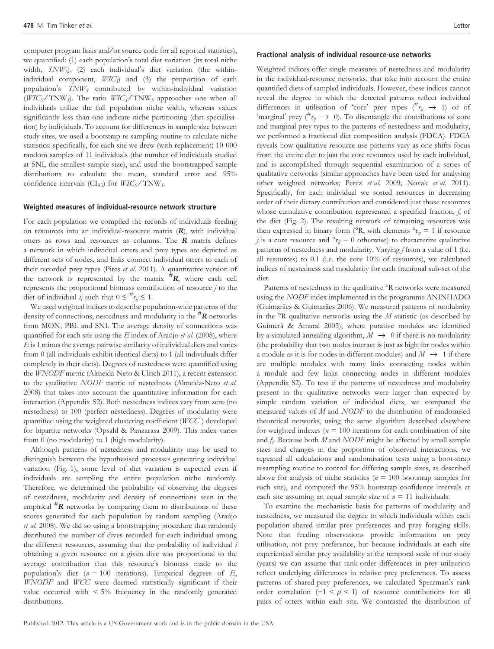computer program links and/or source code for all reported statistics), we quantified: (1) each population's total diet variation (its total niche width,  $TNW_S$ ), (2) each individual's diet variation (the withinindividual component,  $WIC<sub>S</sub>$  and (3) the proportion of each population's  $TNW<sub>S</sub>$  contributed by within-individual variation ( $WIC_S/TNW_S$ ). The ratio  $WIC_S/TNW_S$  approaches one when all individuals utilize the full population niche width, whereas values significantly less than one indicate niche partitioning (diet specialisation) by individuals. To account for differences in sample size between study sites, we used a bootstrap re-sampling routine to calculate niche statistics: specifically, for each site we drew (with replacement) 10 000 random samples of 11 individuals (the number of individuals studied at SNI, the smallest sample size), and used the bootstrapped sample distributions to calculate the mean, standard error and 95% confidence intervals (CI<sub>95</sub>) for  $WIC_S/TNW_S$ .

#### Weighted measures of individual-resource network structure

For each population we compiled the records of individuals feeding on resources into an individual-resource matrix  $(R)$ , with individual otters as rows and resources as columns. The  $R$  matrix defines a network in which individual otters and prey types are depicted as different sets of nodes, and links connect individual otters to each of their recorded prey types (Pires et al. 2011). A quantitative version of the network is represented by the matrix  $^{\#}R$ , where each cell represents the proportional biomass contribution of resource j to the diet of individual *i*, such that  $0 \leq \frac{H}{T_{ij}} \leq 1$ .

We used weighted indices to describe population-wide patterns of the density of connections, nestedness and modularity in the  $^{\#}R$  networks from MON, PBL and SNI. The average density of connections was quantified for each site using the  $E$  index of Araújo et al. (2008), where  $E$  is 1 minus the average pairwise similarity of individual diets and varies from 0 (all individuals exhibit identical diets) to 1 (all individuals differ completely in their diets). Degrees of nestedness were quantified using the WNODF metric (Almeida-Neto & Ulrich 2011), a recent extension to the qualitative NODF metric of nestedness (Almeida-Neto et al. 2008) that takes into account the quantitative information for each interaction (Appendix S2). Both nestedness indices vary from zero (no nestedness) to 100 (perfect nestedness). Degrees of modularity were quantified using the weighted clustering coefficient (WCC ) developed for bipartite networks (Opsahl & Panzarasa 2009). This index varies from 0 (no modularity) to 1 (high modularity).

Although patterns of nestedness and modularity may be used to distinguish between the hypothesised processes generating individual variation (Fig. 1), some level of diet variation is expected even if individuals are sampling the entire population niche randomly. Therefore, we determined the probability of observing the degrees of nestedness, modularity and density of connections seen in the empirical  ${}^{t\!t}R$  networks by comparing them to distributions of these scores generated for each population by random sampling (Araújo et al. 2008). We did so using a bootstrapping procedure that randomly distributed the number of dives recorded for each individual among the different resources, assuming that the probability of individual  $i$ obtaining a given resource on a given dive was proportional to the average contribution that this resource's biomass made to the population's diet ( $n = 100$  iterations). Empirical degrees of  $E$ , WNODF and WCC were deemed statistically significant if their value occurred with  $\lt$  5% frequency in the randomly generated distributions.

#### Fractional analysis of individual resource-use networks

Weighted indices offer single measures of nestedness and modularity in the individual-resource networks, that take into account the entire quantified diets of sampled individuals. However, these indices cannot reveal the degree to which the detected patterns reflect individual differences in utilisation of 'core' prey types  $(^{\#}r_{ij} \rightarrow 1)$  or of 'marginal' prey ( $tr_{ij} \rightarrow 0$ ). To disentangle the contributions of core and marginal prey types to the patterns of nestedness and modularity, we performed a fractional diet composition analysis (FDCA). FDCA reveals how qualitative resource-use patterns vary as one shifts focus from the entire diet to just the core resources used by each individual, and is accomplished through sequential examination of a series of qualitative networks (similar approaches have been used for analysing other weighted networks; Perez et al. 2009; Novak et al. 2011). Specifically, for each individual we sorted resources in decreasing order of their dietary contribution and considered just those resources whose cumulative contribution represented a specified fraction, f, of the diet (Fig. 2). The resulting network of remaining resources was then expressed in binary form ( ${}^{\circ}R$ , with elements  ${}^{\circ}r_{ij} = 1$  if resource *j* is a core resource and  ${}^{\circ}r_{ij} = 0$  otherwise) to characterize qualitative patterns of nestedness and modularity. Varying f from a value of 1 (i.e. all resources) to 0.1 (i.e. the core 10% of resources), we calculated indices of nestedness and modularity for each fractional sub-set of the diet.

Patterns of nestedness in the qualitative <sup>o</sup>R networks were measured using the NODF index implemented in the programme ANINHADO (Guimarães & Guimarães 2006). We measured patterns of modularity in the  ${}^{\circ}R$  qualitative networks using the  $M$  statistic (as described by Guimerà & Amaral 2005), where putative modules are identified by a simulated annealing algorithm,  $M \rightarrow 0$  if there is no modularity (the probability that two nodes interact is just as high for nodes within a module as it is for nodes in different modules) and  $M \rightarrow 1$  if there are multiple modules with many links connecting nodes within a module and few links connecting nodes in different modules (Appendix S2). To test if the patterns of nestedness and modularity present in the qualitative networks were larger than expected by simple random variation of individual diets, we compared the measured values of M and NODF to the distribution of randomised theoretical networks, using the same algorithm described elsewhere for weighted indexes ( $n = 100$  iterations for each combination of site and  $f$ ). Because both  $M$  and  $NODF$  might be affected by small sample sizes and changes in the proportion of observed interactions, we repeated all calculations and randomisation tests using a boot-strap resampling routine to control for differing sample sizes, as described above for analysis of niche statistics ( $n = 100$  bootstrap samples for each site), and computed the 95% bootstrap confidence intervals at each site assuming an equal sample size of  $n = 11$  individuals.

To examine the mechanistic basis for patterns of modularity and nestedness, we measured the degree to which individuals within each population shared similar prey preferences and prey foraging skills. Note that feeding observations provide information on prey utilisation, not prey preference, but because individuals at each site experienced similar prey availability at the temporal scale of our study (years) we can assume that rank-order differences in prey utilisation reflect underlying differences in relative prey preferences. To assess patterns of shared-prey preferences, we calculated Spearman's rank order correlation  $(-1 < \rho < 1)$  of resource contributions for all pairs of otters within each site. We contrasted the distribution of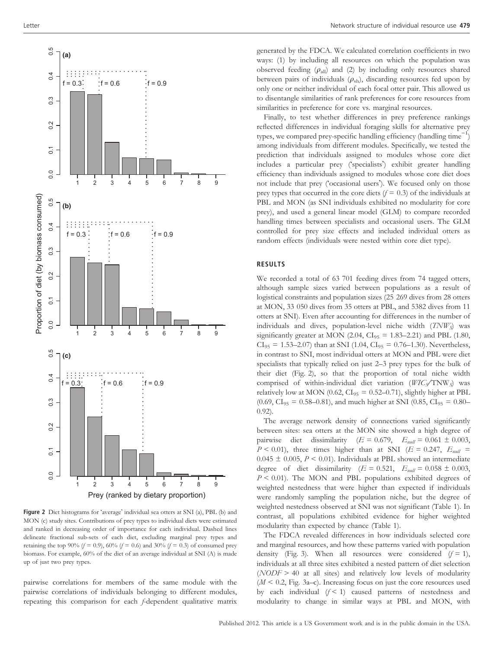

Figure 2 Diet histograms for 'average' individual sea otters at SNI (a), PBL (b) and MON (c) study sites. Contributions of prey types to individual diets were estimated and ranked in decreasing order of importance for each individual. Dashed lines delineate fractional sub-sets of each diet, excluding marginal prey types and retaining the top 90% ( $f = 0.9$ ), 60% ( $f = 0.6$ ) and 30% ( $f = 0.3$ ) of consumed prey biomass. For example, 60% of the diet of an average individual at SNI (A) is made up of just two prey types.

pairwise correlations for members of the same module with the pairwise correlations of individuals belonging to different modules, repeating this comparison for each f-dependent qualitative matrix

generated by the FDCA. We calculated correlation coefficients in two ways: (1) by including all resources on which the population was observed feeding  $(\rho_{all})$  and (2) by including only resources shared between pairs of individuals  $(\rho_{sh})$ , discarding resources fed upon by only one or neither individual of each focal otter pair. This allowed us to disentangle similarities of rank preferences for core resources from similarities in preference for core vs. marginal resources.

Finally, to test whether differences in prey preference rankings reflected differences in individual foraging skills for alternative prey types, we compared prey-specific handling efficiency (handling  $time^{-1}$ ) among individuals from different modules. Specifically, we tested the prediction that individuals assigned to modules whose core diet includes a particular prey ('specialists') exhibit greater handling efficiency than individuals assigned to modules whose core diet does not include that prey ('occasional users'). We focused only on those prey types that occurred in the core diets  $(f = 0.3)$  of the individuals at PBL and MON (as SNI individuals exhibited no modularity for core prey), and used a general linear model (GLM) to compare recorded handling times between specialists and occasional users. The GLM controlled for prey size effects and included individual otters as random effects (individuals were nested within core diet type).

# RESULTS

We recorded a total of 63 701 feeding dives from 74 tagged otters, although sample sizes varied between populations as a result of logistical constraints and population sizes (25 269 dives from 28 otters at MON, 33 050 dives from 35 otters at PBL, and 5382 dives from 11 otters at SNI). Even after accounting for differences in the number of individuals and dives, population-level niche width  $(TNW<sub>S</sub>)$  was significantly greater at MON (2.04,  $CI_{95} = 1.83 - 2.21$ ) and PBL (1.80,  $CI_{95} = 1.53-2.07$ ) than at SNI (1.04,  $CI_{95} = 0.76-1.30$ ). Nevertheless, in contrast to SNI, most individual otters at MON and PBL were diet specialists that typically relied on just 2–3 prey types for the bulk of their diet (Fig. 2), so that the proportion of total niche width comprised of within-individual diet variation  $(WIC \surd TNW_S)$  was relatively low at MON (0.62,  $CI_{95} = 0.52{\text -}0.71$ ), slightly higher at PBL  $(0.69, CI_{95} = 0.58-0.81)$ , and much higher at SNI  $(0.85, CI_{95} = 0.80-0.81)$ 0.92).

The average network density of connections varied significantly between sites: sea otters at the MON site showed a high degree of pairwise diet dissimilarity ( $E = 0.679$ ,  $E_{null} = 0.061 \pm 0.003$ ,  $P < 0.01$ ), three times higher than at SNI ( $E = 0.247$ ,  $E_{null}$  =  $0.045 \pm 0.005$ ,  $P < 0.01$ ). Individuals at PBL showed an intermediate degree of diet dissimilarity ( $E = 0.521$ ,  $E_{null} = 0.058 \pm 0.003$ ,  $P < 0.01$ ). The MON and PBL populations exhibited degrees of weighted nestedness that were higher than expected if individuals were randomly sampling the population niche, but the degree of weighted nestedness observed at SNI was not significant (Table 1). In contrast, all populations exhibited evidence for higher weighted modularity than expected by chance (Table 1).

The FDCA revealed differences in how individuals selected core and marginal resources, and how these patterns varied with population density (Fig. 3). When all resources were considered  $(f = 1)$ , individuals at all three sites exhibited a nested pattern of diet selection  $(NODF > 40$  at all sites) and relatively low levels of modularity  $(M < 0.2$ , Fig. 3a–c). Increasing focus on just the core resources used by each individual  $(f < 1)$  caused patterns of nestedness and modularity to change in similar ways at PBL and MON, with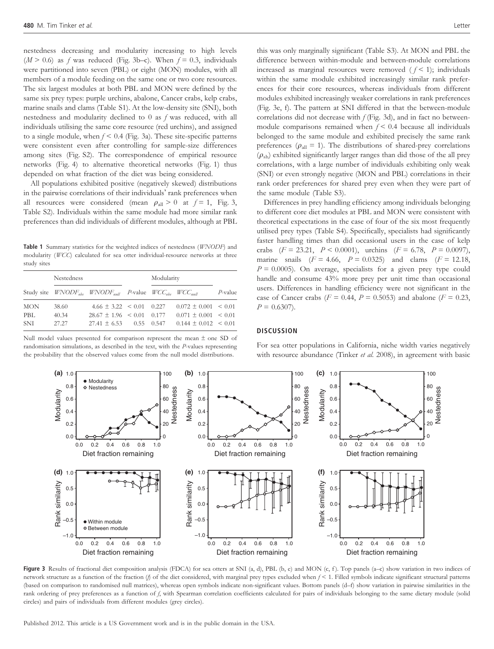nestedness decreasing and modularity increasing to high levels  $(M > 0.6)$  as f was reduced (Fig. 3b–c). When  $f = 0.3$ , individuals were partitioned into seven (PBL) or eight (MON) modules, with all members of a module feeding on the same one or two core resources. The six largest modules at both PBL and MON were defined by the same six prey types: purple urchins, abalone, Cancer crabs, kelp crabs, marine snails and clams (Table S1). At the low-density site (SNI), both nestedness and modularity declined to 0 as f was reduced, with all individuals utilising the same core resource (red urchins), and assigned to a single module, when  $f < 0.4$  (Fig. 3a). These site-specific patterns were consistent even after controlling for sample-size differences among sites (Fig. S2). The correspondence of empirical resource networks (Fig. 4) to alternative theoretical networks (Fig. 1) thus depended on what fraction of the diet was being considered.

All populations exhibited positive (negatively skewed) distributions in the pairwise correlations of their individuals' rank preferences when all resources were considered (mean  $\rho_{all} > 0$  at  $f = 1$ , Fig. 3, Table S2). Individuals within the same module had more similar rank preferences than did individuals of different modules, although at PBL

Table 1 Summary statistics for the weighted indices of nestedness (*WNODF*) and modularity (WCC) calculated for sea otter individual-resource networks at three study sites

|            | <b>Nestedness</b> |                                                                                                                    |  | Modularity |                            |            |
|------------|-------------------|--------------------------------------------------------------------------------------------------------------------|--|------------|----------------------------|------------|
|            |                   | Study site $W\text{NOD}F_{\text{abs}}$ $W\text{NOD}F_{\text{null}}$ P-value $WCC_{\text{abs}}$ $WCC_{\text{null}}$ |  |            |                            | $P$ -value |
| <b>MON</b> | 38.60             | $4.66 \pm 3.22 \leq 0.01$ 0.227                                                                                    |  |            | $0.072 \pm 0.001 \le 0.01$ |            |
| PBL        | 40.34             | $28.67 + 1.96 \leq 0.01 \quad 0.177$                                                                               |  |            | $0.071 + 0.001 < 0.01$     |            |
| <b>SNI</b> | 27 27             | $27.41 + 6.53$ 0.55 0.547                                                                                          |  |            | $0.144 \pm 0.012 \le 0.01$ |            |

Null model values presented for comparison represent the mean ± one SD of randomisation simulations, as described in the text, with the P-values representing the probability that the observed values come from the null model distributions.

this was only marginally significant (Table S3). At MON and PBL the difference between within-module and between-module correlations increased as marginal resources were removed  $(f < 1)$ ; individuals within the same module exhibited increasingly similar rank preferences for their core resources, whereas individuals from different modules exhibited increasingly weaker correlations in rank preferences (Fig. 3e, f). The pattern at SNI differed in that the between-module correlations did not decrease with  $f$  (Fig. 3d), and in fact no betweenmodule comparisons remained when  $f < 0.4$  because all individuals belonged to the same module and exhibited precisely the same rank preferences ( $\rho_{all} = 1$ ). The distributions of shared-prey correlations  $(\rho_{sh})$  exhibited significantly larger ranges than did those of the all prey correlations, with a large number of individuals exhibiting only weak (SNI) or even strongly negative (MON and PBL) correlations in their rank order preferences for shared prey even when they were part of the same module (Table S3).

Differences in prey handling efficiency among individuals belonging to different core diet modules at PBL and MON were consistent with theoretical expectations in the case of four of the six most frequently utilised prey types (Table S4). Specifically, specialists had significantly faster handling times than did occasional users in the case of kelp crabs  $(F = 23.21, P < 0.0001)$ , urchins  $(F = 6.78, P = 0.0097)$ , marine snails  $(F = 4.66, P = 0.0325)$  and clams  $(F = 12.18,$  $P = 0.0005$ ). On average, specialists for a given prey type could handle and consume 43% more prey per unit time than occasional users. Differences in handling efficiency were not significant in the case of Cancer crabs ( $F = 0.44$ ,  $P = 0.5053$ ) and abalone ( $F = 0.23$ ,  $P = 0.6307$ .

#### **DISCUSSION**

For sea otter populations in California, niche width varies negatively with resource abundance (Tinker et al. 2008), in agreement with basic



Figure 3 Results of fractional diet composition analysis (FDCA) for sea otters at SNI (a, d), PBL (b, e) and MON (c, f). Top panels (a–c) show variation in two indices of network structure as a function of the fraction  $(f)$  of the diet considered, with marginal prey types excluded when  $f < 1$ . Filled symbols indicate significant structural patterns (based on comparison to randomised null matrices), whereas open symbols indicate non-significant values. Bottom panels (d–f) show variation in pairwise similarities in the rank ordering of prey preferences as a function of f, with Spearman correlation coefficients calculated for pairs of individuals belonging to the same dietary module (solid circles) and pairs of individuals from different modules (grey circles).

Published 2012. This article is a US Government work and is in the public domain in the USA.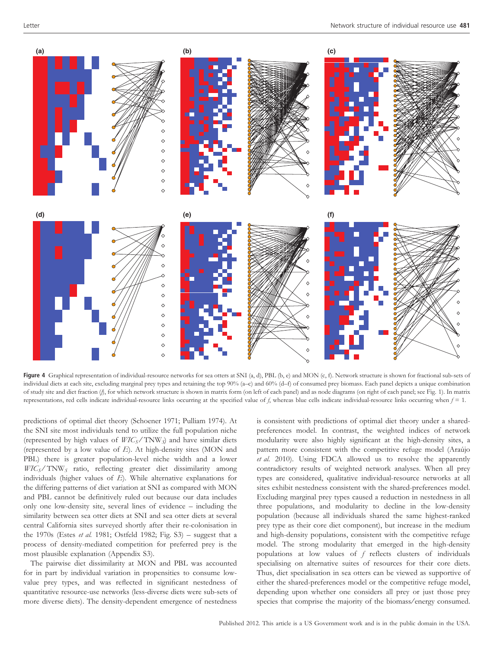

Figure 4 Graphical representation of individual-resource networks for sea otters at SNI (a, d), PBL (b, e) and MON (c, f). Network structure is shown for fractional sub-sets of individual diets at each site, excluding marginal prey types and retaining the top 90% (a–c) and 60% (d–f) of consumed prey biomass. Each panel depicts a unique combination of study site and diet fraction (f), for which network structure is shown in matrix form (on left of each panel) and as node diagrams (on right of each panel; see Fig. 1). In matrix representations, red cells indicate individual-resource links occurring at the specified value of f, whereas blue cells indicate individual-resource links occurring when  $f = 1$ .

predictions of optimal diet theory (Schoener 1971; Pulliam 1974). At the SNI site most individuals tend to utilize the full population niche (represented by high values of  $WIC_S/TNW_S$ ) and have similar diets (represented by a low value of E). At high-density sites (MON and PBL) there is greater population-level niche width and a lower  $WIC_S/TNW_S$  ratio, reflecting greater diet dissimilarity among individuals (higher values of E). While alternative explanations for the differing patterns of diet variation at SNI as compared with MON and PBL cannot be definitively ruled out because our data includes only one low-density site, several lines of evidence – including the similarity between sea otter diets at SNI and sea otter diets at several central California sites surveyed shortly after their re-colonisation in the 1970s (Estes et al. 1981; Ostfeld 1982; Fig. S3) - suggest that a process of density-mediated competition for preferred prey is the most plausible explanation (Appendix S3).

The pairwise diet dissimilarity at MON and PBL was accounted for in part by individual variation in propensities to consume lowvalue prey types, and was reflected in significant nestedness of quantitative resource-use networks (less-diverse diets were sub-sets of more diverse diets). The density-dependent emergence of nestedness

is consistent with predictions of optimal diet theory under a sharedpreferences model. In contrast, the weighted indices of network modularity were also highly significant at the high-density sites, a pattern more consistent with the competitive refuge model (Araújo et al. 2010). Using FDCA allowed us to resolve the apparently contradictory results of weighted network analyses. When all prey types are considered, qualitative individual-resource networks at all sites exhibit nestedness consistent with the shared-preferences model. Excluding marginal prey types caused a reduction in nestedness in all three populations, and modularity to decline in the low-density population (because all individuals shared the same highest-ranked prey type as their core diet component), but increase in the medium and high-density populations, consistent with the competitive refuge model. The strong modularity that emerged in the high-density populations at low values of f reflects clusters of individuals specialising on alternative suites of resources for their core diets. Thus, diet specialisation in sea otters can be viewed as supportive of either the shared-preferences model or the competitive refuge model, depending upon whether one considers all prey or just those prey species that comprise the majority of the biomass⁄ energy consumed.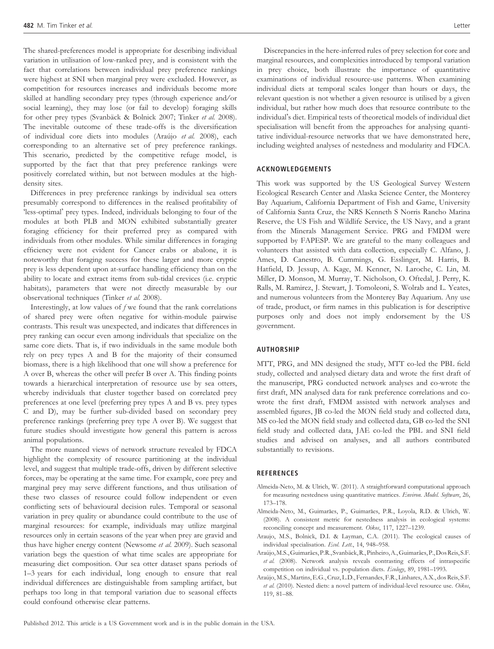The shared-preferences model is appropriate for describing individual variation in utilisation of low-ranked prey, and is consistent with the fact that correlations between individual prey preference rankings were highest at SNI when marginal prey were excluded. However, as competition for resources increases and individuals become more skilled at handling secondary prey types (through experience and/or social learning), they may lose (or fail to develop) foraging skills for other prey types (Svanbäck & Bolnick 2007; Tinker et al. 2008). The inevitable outcome of these trade-offs is the diversification of individual core diets into modules (Araújo et al. 2008), each corresponding to an alternative set of prey preference rankings. This scenario, predicted by the competitive refuge model, is supported by the fact that that prey preference rankings were positively correlated within, but not between modules at the highdensity sites.

Differences in prey preference rankings by individual sea otters presumably correspond to differences in the realised profitability of 'less-optimal' prey types. Indeed, individuals belonging to four of the modules at both PLB and MON exhibited substantially greater foraging efficiency for their preferred prey as compared with individuals from other modules. While similar differences in foraging efficiency were not evident for Cancer crabs or abalone, it is noteworthy that foraging success for these larger and more cryptic prey is less dependent upon at-surface handling efficiency than on the ability to locate and extract items from sub-tidal crevices (i.e. cryptic habitats), parameters that were not directly measurable by our observational techniques (Tinker et al. 2008).

Interestingly, at low values of  $f$  we found that the rank correlations of shared prey were often negative for within-module pairwise contrasts. This result was unexpected, and indicates that differences in prey ranking can occur even among individuals that specialize on the same core diets. That is, if two individuals in the same module both rely on prey types A and B for the majority of their consumed biomass, there is a high likelihood that one will show a preference for A over B, whereas the other will prefer B over A. This finding points towards a hierarchical interpretation of resource use by sea otters, whereby individuals that cluster together based on correlated prey preferences at one level (preferring prey types A and B vs. prey types C and D), may be further sub-divided based on secondary prey preference rankings (preferring prey type A over B). We suggest that future studies should investigate how general this pattern is across animal populations.

The more nuanced views of network structure revealed by FDCA highlight the complexity of resource partitioning at the individual level, and suggest that multiple trade-offs, driven by different selective forces, may be operating at the same time. For example, core prey and marginal prey may serve different functions, and thus utilisation of these two classes of resource could follow independent or even conflicting sets of behavioural decision rules. Temporal or seasonal variation in prey quality or abundance could contribute to the use of marginal resources: for example, individuals may utilize marginal resources only in certain seasons of the year when prey are gravid and thus have higher energy content (Newsome et al. 2009). Such seasonal variation begs the question of what time scales are appropriate for measuring diet composition. Our sea otter dataset spans periods of 1–3 years for each individual, long enough to ensure that real individual differences are distinguishable from sampling artifact, but perhaps too long in that temporal variation due to seasonal effects could confound otherwise clear patterns.

Discrepancies in the here-inferred rules of prey selection for core and marginal resources, and complexities introduced by temporal variation in prey choice, both illustrate the importance of quantitative examinations of individual resource-use patterns. When examining individual diets at temporal scales longer than hours or days, the relevant question is not whether a given resource is utilised by a given individual, but rather how much does that resource contribute to the individual's diet. Empirical tests of theoretical models of individual diet specialisation will benefit from the approaches for analysing quantitative individual-resource networks that we have demonstrated here, including weighted analyses of nestedness and modularity and FDCA.

#### ACKNOWLEDGEMENTS

This work was supported by the US Geological Survey Western Ecological Research Center and Alaska Science Center, the Monterey Bay Aquarium, California Department of Fish and Game, University of California Santa Cruz, the NRS Kenneth S Norris Rancho Marina Reserve, the US Fish and Wildlife Service, the US Navy, and a grant from the Minerals Management Service. PRG and FMDM were supported by FAPESP. We are grateful to the many colleagues and volunteers that assisted with data collection, especially C. Alfano, J. Ames, D. Canestro, B. Cummings, G. Esslinger, M. Harris, B. Hatfield, D. Jessup, A. Kage, M. Kenner, N. Laroche, C. Lin, M. Miller, D. Monson, M. Murray, T. Nicholson, O. Oftedal, J. Perry, K. Ralls, M. Ramirez, J. Stewart, J. Tomoleoni, S. Wolrab and L. Yeates, and numerous volunteers from the Monterey Bay Aquarium. Any use of trade, product, or firm names in this publication is for descriptive purposes only and does not imply endorsement by the US government.

#### **AUTHORSHIP**

MTT, PRG, and MN designed the study, MTT co-led the PBL field study, collected and analysed dietary data and wrote the first draft of the manuscript, PRG conducted network analyses and co-wrote the first draft, MN analysed data for rank preference correlations and cowrote the first draft, FMDM assisted with network analyses and assembled figures, JB co-led the MON field study and collected data, MS co-led the MON field study and collected data, GB co-led the SNI field study and collected data, JAE co-led the PBL and SNI field studies and advised on analyses, and all authors contributed substantially to revisions.

#### REFERENCES

- Almeida-Neto, M. & Ulrich, W. (2011). A straightforward computational approach for measuring nestedness using quantitative matrices. Environ. Model. Software, 26, 173–178.
- Almeida-Neto, M., Guimarães, P., Guimarães, P.R., Loyola, R.D. & Ulrich, W. (2008). A consistent metric for nestedness analysis in ecological systems: reconciling concept and measurement. Oikos, 117, 1227–1239.
- Araujo, M.S., Bolnick, D.I. & Layman, C.A. (2011). The ecological causes of individual specialisation. Ecol. Lett., 14, 948-958.
- Araújo, M.S., Guimarães, P.R., Svanbäck, R., Pinheiro, A., Guimarães, P., Dos Reis, S.F. et al. (2008). Network analysis reveals contrasting effects of intraspecific competition on individual vs. population diets. Ecology, 89, 1981–1993.
- Arau´jo, M.S., Martins, E.G., Cruz, L.D., Fernandes, F.R., Linhares, A.X., dos Reis, S.F. et al. (2010). Nested diets: a novel pattern of individual-level resource use. Oikos, 119, 81–88.